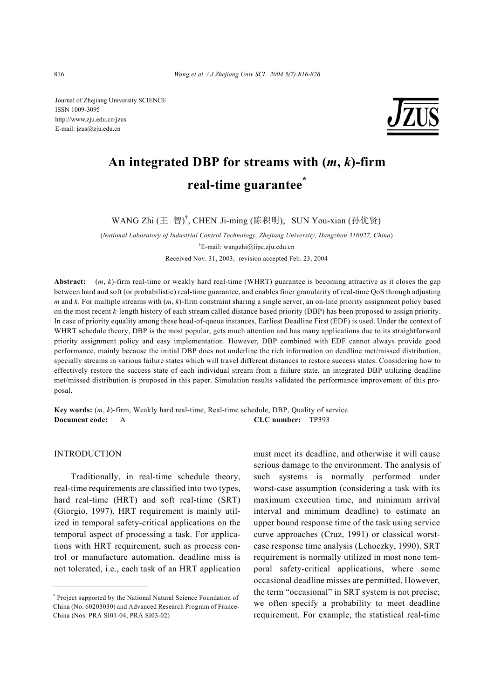Journal of Zhejiang University SCIENCE ISSN 1009-3095 http://www.zju.edu.cn/jzus E-mail: jzus@zju.edu.cn



# **An integrated DBP for streams with (***m***,** *k***)-firm real-time guarantee\***

WANG Zhi (王 智) † , CHEN Ji-ming (陈积明),SUN You-xian (孙优贤)

(*National Laboratory of Industrial Control Technology, Zhejiang University, Hangzhou 310027, China*) † E-mail: wangzhi@iipc.zju.edu.cn Received Nov. 31, 2003; revision accepted Feb. 23, 2004

**Abstract:** (*m*, *k*)-firm real-time or weakly hard real-time (WHRT) guarantee is becoming attractive as it closes the gap between hard and soft (or probabilistic) real-time guarantee, and enables finer granularity of real-time QoS through adjusting *m* and *k*. For multiple streams with (*m*, *k*)-firm constraint sharing a single server, an on-line priority assignment policy based on the most recent *k*-length history of each stream called distance based priority (DBP) has been proposed to assign priority. In case of priority equality among these head-of-queue instances, Earliest Deadline First (EDF) is used. Under the context of WHRT schedule theory, DBP is the most popular, gets much attention and has many applications due to its straightforward priority assignment policy and easy implementation. However, DBP combined with EDF cannot always provide good performance, mainly because the initial DBP does not underline the rich information on deadline met/missed distribution, specially streams in various failure states which will travel different distances to restore success states. Considering how to effectively restore the success state of each individual stream from a failure state, an integrated DBP utilizing deadline met/missed distribution is proposed in this paper. Simulation results validated the performance improvement of this proposal.

**Key words:** (*m*, *k*)-firm, Weakly hard real-time, Real-time schedule, DBP, Quality of service **Document code:** A **CLC number:** TP393

### INTRODUCTION

Traditionally, in real-time schedule theory, real-time requirements are classified into two types, hard real-time (HRT) and soft real-time (SRT) (Giorgio, 1997). HRT requirement is mainly utilized in temporal safety-critical applications on the temporal aspect of processing a task. For applications with HRT requirement, such as process control or manufacture automation, deadline miss is not tolerated, i.e., each task of an HRT application must meet its deadline, and otherwise it will cause serious damage to the environment. The analysis of such systems is normally performed under worst-case assumption (considering a task with its maximum execution time, and minimum arrival interval and minimum deadline) to estimate an upper bound response time of the task using service curve approaches (Cruz, 1991) or classical worstcase response time analysis (Lehoczky, 1990). SRT requirement is normally utilized in most none temporal safety-critical applications, where some occasional deadline misses are permitted. However, the term "occasional" in SRT system is not precise; we often specify a probability to meet deadline requirement. For example, the statistical real-time

<sup>\*</sup> Project supported by the National Natural Science Foundation of China (No. 60203030) and Advanced Research Program of France-China (Nos. PRA SI01-04, PRA SI03-02)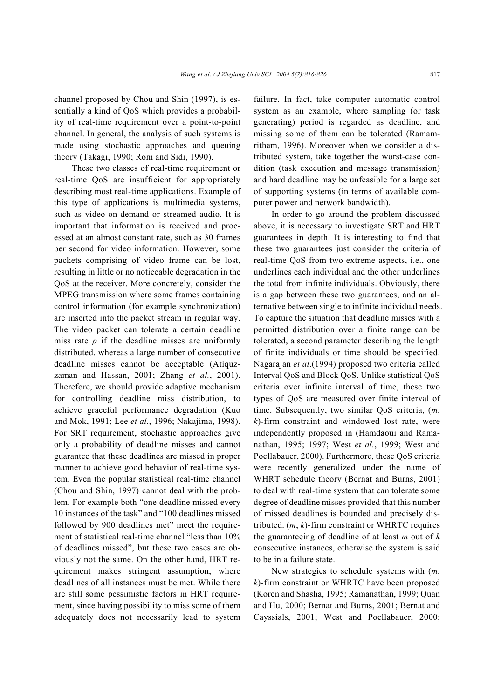channel proposed by Chou and Shin (1997), is essentially a kind of QoS which provides a probability of real-time requirement over a point-to-point channel. In general, the analysis of such systems is made using stochastic approaches and queuing theory (Takagi, 1990; Rom and Sidi, 1990).

These two classes of real-time requirement or real-time QoS are insufficient for appropriately describing most real-time applications. Example of this type of applications is multimedia systems, such as video-on-demand or streamed audio. It is important that information is received and processed at an almost constant rate, such as 30 frames per second for video information. However, some packets comprising of video frame can be lost, resulting in little or no noticeable degradation in the QoS at the receiver. More concretely, consider the MPEG transmission where some frames containing control information (for example synchronization) are inserted into the packet stream in regular way. The video packet can tolerate a certain deadline miss rate *p* if the deadline misses are uniformly distributed, whereas a large number of consecutive deadline misses cannot be acceptable (Atiquzzaman and Hassan, 2001; Zhang *et al.*, 2001). Therefore, we should provide adaptive mechanism for controlling deadline miss distribution, to achieve graceful performance degradation (Kuo and Mok, 1991; Lee *et al.*, 1996; Nakajima, 1998). For SRT requirement, stochastic approaches give only a probability of deadline misses and cannot guarantee that these deadlines are missed in proper manner to achieve good behavior of real-time system. Even the popular statistical real-time channel (Chou and Shin, 1997) cannot deal with the problem. For example both "one deadline missed every 10 instances of the task" and "100 deadlines missed followed by 900 deadlines met" meet the requirement of statistical real-time channel "less than 10% of deadlines missed", but these two cases are obviously not the same. On the other hand, HRT requirement makes stringent assumption, where deadlines of all instances must be met. While there are still some pessimistic factors in HRT requirement, since having possibility to miss some of them adequately does not necessarily lead to system failure. In fact, take computer automatic control system as an example, where sampling (or task generating) period is regarded as deadline, and missing some of them can be tolerated (Ramamritham, 1996). Moreover when we consider a distributed system, take together the worst-case condition (task execution and message transmission) and hard deadline may be unfeasible for a large set of supporting systems (in terms of available computer power and network bandwidth).

In order to go around the problem discussed above, it is necessary to investigate SRT and HRT guarantees in depth. It is interesting to find that these two guarantees just consider the criteria of real-time QoS from two extreme aspects, i.e., one underlines each individual and the other underlines the total from infinite individuals. Obviously, there is a gap between these two guarantees, and an alternative between single to infinite individual needs. To capture the situation that deadline misses with a permitted distribution over a finite range can be tolerated, a second parameter describing the length of finite individuals or time should be specified. Nagarajan *et al*.(1994) proposed two criteria called Interval QoS and Block QoS. Unlike statistical QoS criteria over infinite interval of time, these two types of QoS are measured over finite interval of time. Subsequently, two similar QoS criteria, (*m*, *k*)-firm constraint and windowed lost rate, were independently proposed in (Hamdaoui and Ramanathan, 1995; 1997; West *et al.*, 1999; West and Poellabauer, 2000). Furthermore, these QoS criteria were recently generalized under the name of WHRT schedule theory (Bernat and Burns, 2001) to deal with real-time system that can tolerate some degree of deadline misses provided that this number of missed deadlines is bounded and precisely distributed. (*m*, *k*)-firm constraint or WHRTC requires the guaranteeing of deadline of at least *m* out of *k* consecutive instances, otherwise the system is said to be in a failure state.

New strategies to schedule systems with (*m*, *k*)-firm constraint or WHRTC have been proposed (Koren and Shasha, 1995; Ramanathan, 1999; Quan and Hu, 2000; Bernat and Burns, 2001; Bernat and Cayssials, 2001; West and Poellabauer, 2000;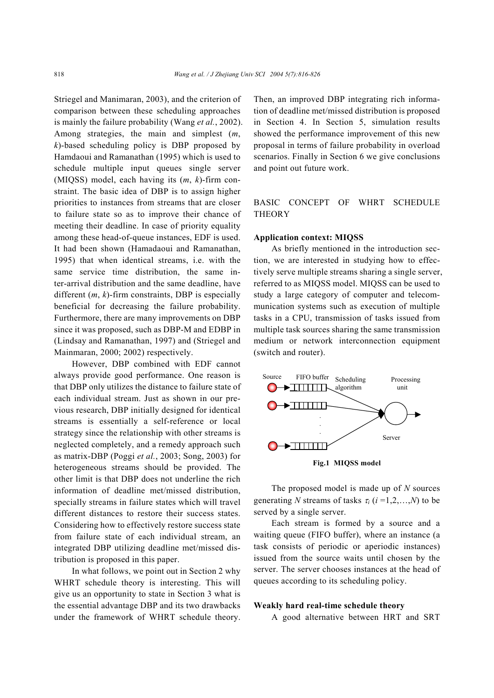Striegel and Manimaran, 2003), and the criterion of comparison between these scheduling approaches is mainly the failure probability (Wang *et al.*, 2002). Among strategies, the main and simplest (*m*, *k*)-based scheduling policy is DBP proposed by Hamdaoui and Ramanathan (1995) which is used to schedule multiple input queues single server (MIQSS) model, each having its (*m*, *k*)-firm constraint. The basic idea of DBP is to assign higher priorities to instances from streams that are closer to failure state so as to improve their chance of meeting their deadline. In case of priority equality among these head-of-queue instances, EDF is used. It had been shown (Hamadaoui and Ramanathan, 1995) that when identical streams, i.e. with the same service time distribution, the same inter-arrival distribution and the same deadline, have different (*m*, *k*)-firm constraints, DBP is especially beneficial for decreasing the failure probability. Furthermore, there are many improvements on DBP since it was proposed, such as DBP-M and EDBP in (Lindsay and Ramanathan, 1997) and (Striegel and Mainmaran, 2000; 2002) respectively.

However, DBP combined with EDF cannot always provide good performance. One reason is that DBP only utilizes the distance to failure state of each individual stream. Just as shown in our previous research, DBP initially designed for identical streams is essentially a self-reference or local strategy since the relationship with other streams is neglected completely, and a remedy approach such as matrix-DBP (Poggi *et al.*, 2003; Song, 2003) for heterogeneous streams should be provided. The other limit is that DBP does not underline the rich information of deadline met/missed distribution, specially streams in failure states which will travel different distances to restore their success states. Considering how to effectively restore success state from failure state of each individual stream, an integrated DBP utilizing deadline met/missed distribution is proposed in this paper.

In what follows, we point out in Section 2 why WHRT schedule theory is interesting. This will give us an opportunity to state in Section 3 what is the essential advantage DBP and its two drawbacks under the framework of WHRT schedule theory.

Then, an improved DBP integrating rich information of deadline met/missed distribution is proposed in Section 4. In Section 5, simulation results showed the performance improvement of this new proposal in terms of failure probability in overload scenarios. Finally in Section 6 we give conclusions and point out future work.

BASIC CONCEPT OF WHRT SCHEDULE **THEORY** 

#### **Application context: MIQSS**

As briefly mentioned in the introduction section, we are interested in studying how to effectively serve multiple streams sharing a single server, referred to as MIQSS model. MIQSS can be used to study a large category of computer and telecommunication systems such as execution of multiple tasks in a CPU, transmission of tasks issued from multiple task sources sharing the same transmission medium or network interconnection equipment (switch and router).



**Fig.1 MIQSS model** 

The proposed model is made up of *N* sources generating *N* streams of tasks  $\tau_i$  ( $i = 1, 2, ..., N$ ) to be served by a single server.

Each stream is formed by a source and a waiting queue (FIFO buffer), where an instance (a task consists of periodic or aperiodic instances) issued from the source waits until chosen by the server. The server chooses instances at the head of queues according to its scheduling policy.

## **Weakly hard real-time schedule theory**

A good alternative between HRT and SRT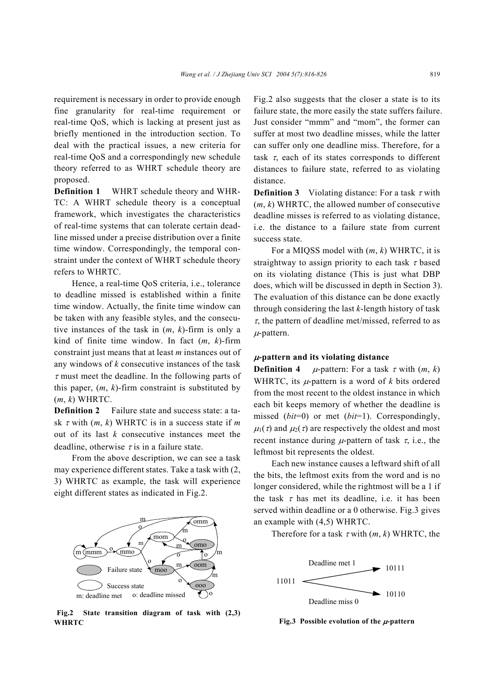requirement is necessary in order to provide enough fine granularity for real-time requirement or real-time QoS, which is lacking at present just as briefly mentioned in the introduction section. To deal with the practical issues, a new criteria for real-time QoS and a correspondingly new schedule theory referred to as WHRT schedule theory are proposed.

**Definition 1** WHRT schedule theory and WHR-TC: A WHRT schedule theory is a conceptual framework, which investigates the characteristics of real-time systems that can tolerate certain deadline missed under a precise distribution over a finite time window. Correspondingly, the temporal constraint under the context of WHRT schedule theory refers to WHRTC.

Hence, a real-time QoS criteria, i.e., tolerance to deadline missed is established within a finite time window. Actually, the finite time window can be taken with any feasible styles, and the consecutive instances of the task in (*m*, *k*)-firm is only a kind of finite time window. In fact (*m*, *k*)-firm constraint just means that at least *m* instances out of any windows of *k* consecutive instances of the task  $\tau$  must meet the deadline. In the following parts of this paper,  $(m, k)$ -firm constraint is substituted by (*m*, *k*) WHRTC.

**Definition 2** Failure state and success state: a task τ with (*m*, *k*) WHRTC is in a success state if *m* out of its last *k* consecutive instances meet the deadline, otherwise  $\tau$  is in a failure state.

From the above description, we can see a task may experience different states. Take a task with (2, 3) WHRTC as example, the task will experience eight different states as indicated in Fig.2.



**Fig.2 State transition diagram of task with (2,3) WHRTC**

Fig.2 also suggests that the closer a state is to its failure state, the more easily the state suffers failure. Just consider "mmm" and "mom", the former can suffer at most two deadline misses, while the latter can suffer only one deadline miss. Therefore, for a task  $\tau$ , each of its states corresponds to different distances to failure state, referred to as violating distance.

**Definition 3** Violating distance: For a task  $\tau$  with (*m*, *k*) WHRTC, the allowed number of consecutive deadline misses is referred to as violating distance, i.e. the distance to a failure state from current success state.

For a MIQSS model with (*m*, *k*) WHRTC, it is straightway to assign priority to each task  $\tau$  based on its violating distance (This is just what DBP does, which will be discussed in depth in Section 3). The evaluation of this distance can be done exactly through considering the last *k*-length history of task  $\tau$ , the pattern of deadline met/missed, referred to as  $\mu$ -pattern.

#### <sup>µ</sup>**-pattern and its violating distance**

**Definition 4**  $\mu$ -pattern: For a task  $\tau$  with  $(m, k)$ WHRTC, its  $\mu$ -pattern is a word of  $k$  bits ordered from the most recent to the oldest instance in which each bit keeps memory of whether the deadline is missed (*bit*=0) or met (*bit*=1). Correspondingly,  $\mu_1(\tau)$  and  $\mu_2(\tau)$  are respectively the oldest and most recent instance during  $\mu$ -pattern of task  $\tau$ , i.e., the leftmost bit represents the oldest.

Each new instance causes a leftward shift of all the bits, the leftmost exits from the word and is no longer considered, while the rightmost will be a 1 if the task  $\tau$  has met its deadline, i.e. it has been served within deadline or a 0 otherwise. Fig.3 gives an example with (4,5) WHRTC.

Therefore for a task  $\tau$  with  $(m, k)$  WHRTC, the



**Fig.3** Possible evolution of the  $\mu$ -pattern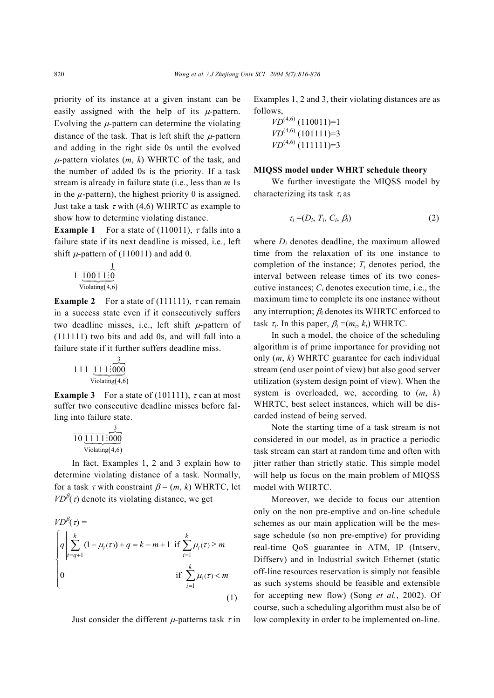priority of its instance at a given instant can be easily assigned with the help of its  $\mu$ -pattern. Evolving the  $\mu$ -pattern can determine the violating distance of the task. That is left shift the  $\mu$ -pattern and adding in the right side 0s until the evolved  $\mu$ -pattern violates  $(m, k)$  WHRTC of the task, and the number of added 0s is the priority. If a task stream is already in failure state (i.e., less than *m* 1s in the  $\mu$ -pattern), the highest priority 0 is assigned. Just take a task  $\tau$  with (4,6) WHRTC as example to show how to determine violating distance.

**Example 1** For a state of (110011),  $\tau$  falls into a failure state if its next deadline is missed, i.e., left shift  $\mu$ -pattern of (110011) and add 0.

$$
\frac{1}{1} \underbrace{\frac{1}{100} \overline{11} \cdot \stackrel{1}{0}}_{\text{Violating}(4,6)}
$$

**Example 2** For a state of (111111),  $\tau$  can remain in a success state even if it consecutively suffers two deadline misses, i.e., left shift  $\mu$ -pattern of (111111) two bits and add 0s, and will fall into a failure state if it further suffers deadline miss.

$$
\overline{1}\overline{1}\overline{1}\underbrace{\overline{1}\overline{1}\overline{1}\overline{1}\overline{1}\overline{1}\overline{000}}_{\text{Violating}(4,6)}
$$

**Example 3** For a state of (101111),  $\tau$  can at most suffer two consecutive deadline misses before falling into failure state.

$$
\frac{\frac{3}{10}\frac{1}{111}\cdot\frac{3}{1000}}{\text{Violating}(4.6)}
$$

In fact, Examples 1, 2 and 3 explain how to determine violating distance of a task. Normally, for a task  $\tau$  with constraint  $\beta = (m, k)$  WHRTC, let  $VD^{\beta}(\tau)$  denote its violating distance, we get

$$
VD^{\beta}(\tau) =
$$
\n
$$
\begin{cases}\nq \sum_{i=q+1}^{k} (1 - \mu_{i}(\tau)) + q = k - m + 1 & \text{if } \sum_{i=1}^{k} \mu_{i}(\tau) \ge m \\
0 & \text{if } \sum_{i=1}^{k} \mu_{i}(\tau) < m\n\end{cases}
$$
\n(1)

Just consider the different  $\mu$ -patterns task  $\tau$  in

Examples 1, 2 and 3, their violating distances are as follows,

$$
VD^{(4,6)} (110011)=1
$$
  

$$
VD^{(4,6)} (101111)=3
$$
  

$$
VD^{(4,6)} (111111)=3
$$

#### **MIQSS model under WHRT schedule theory**

We further investigate the MIQSS model by characterizing its task <sup>τ</sup>*i* as

$$
\tau_i = (D_i, T_i, C_i, \beta_i) \tag{2}
$$

where *Di* denotes deadline, the maximum allowed time from the relaxation of its one instance to completion of the instance;  $T_i$  denotes period, the interval between release times of its two conescutive instances; *Ci* denotes execution time, i.e., the maximum time to complete its one instance without any interruption; β*i* denotes its WHRTC enforced to task  $\tau_i$ . In this paper,  $\beta_i = (m_i, k_i)$  WHRTC.

In such a model, the choice of the scheduling algorithm is of prime importance for providing not only (*m*, *k*) WHRTC guarantee for each individual stream (end user point of view) but also good server utilization (system design point of view). When the system is overloaded, we, according to (*m*, *k*) WHRTC, best select instances, which will be discarded instead of being served.

Note the starting time of a task stream is not considered in our model, as in practice a periodic task stream can start at random time and often with jitter rather than strictly static. This simple model will help us focus on the main problem of MIQSS model with WHRTC.

Moreover, we decide to focus our attention only on the non pre-emptive and on-line schedule schemes as our main application will be the message schedule (so non pre-emptive) for providing real-time QoS guarantee in ATM, IP (Intserv, Diffserv) and in Industrial switch Ethernet (static off-line resources reservation is simply not feasible as such systems should be feasible and extensible for accepting new flow) (Song *et al.*, 2002). Of course, such a scheduling algorithm must also be of low complexity in order to be implemented on-line.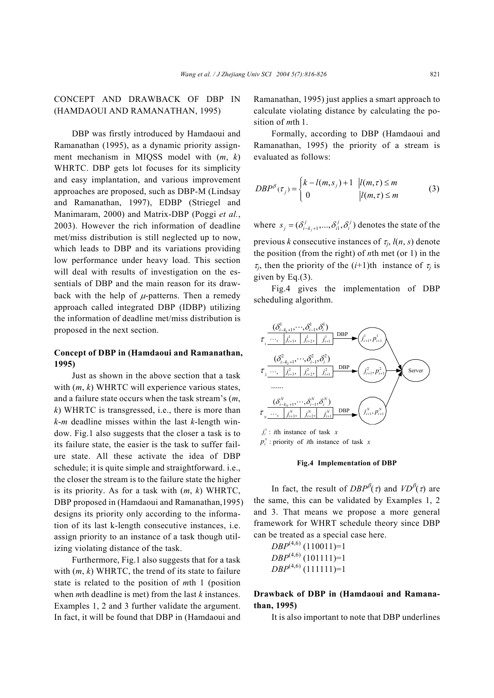# CONCEPT AND DRAWBACK OF DBP IN (HAMDAOUI AND RAMANATHAN, 1995)

DBP was firstly introduced by Hamdaoui and Ramanathan (1995), as a dynamic priority assignment mechanism in MIQSS model with (*m*, *k*) WHRTC. DBP gets lot focuses for its simplicity and easy implantation, and various improvement approaches are proposed, such as DBP-M (Lindsay and Ramanathan, 1997), EDBP (Striegel and Manimaram, 2000) and Matrix-DBP (Poggi *et al.*, 2003). However the rich information of deadline met/miss distribution is still neglected up to now, which leads to DBP and its variations providing low performance under heavy load. This section will deal with results of investigation on the essentials of DBP and the main reason for its drawback with the help of  $\mu$ -patterns. Then a remedy approach called integrated DBP (IDBP) utilizing the information of deadline met/miss distribution is proposed in the next section.

# **Concept of DBP in (Hamdaoui and Ramanathan, 1995)**

Just as shown in the above section that a task with (*m*, *k*) WHRTC will experience various states, and a failure state occurs when the task stream's (*m*, *k*) WHRTC is transgressed, i.e., there is more than *k*-*m* deadline misses within the last *k*-length window. Fig.1 also suggests that the closer a task is to its failure state, the easier is the task to suffer failure state. All these activate the idea of DBP schedule; it is quite simple and straightforward. i.e., the closer the stream is to the failure state the higher is its priority. As for a task with (*m*, *k*) WHRTC, DBP proposed in (Hamdaoui and Ramanathan,1995) designs its priority only according to the information of its last k-length consecutive instances, i.e. assign priority to an instance of a task though utilizing violating distance of the task.

Furthermore, Fig.1 also suggests that for a task with (*m*, *k*) WHRTC, the trend of its state to failure state is related to the position of *m*th 1 (position when *m*th deadline is met) from the last *k* instances. Examples 1, 2 and 3 further validate the argument. In fact, it will be found that DBP in (Hamdaoui and Ramanathan, 1995) just applies a smart approach to calculate violating distance by calculating the position of *m*th 1.

Formally, according to DBP (Hamdaoui and Ramanathan, 1995) the priority of a stream is evaluated as follows:

$$
DBP^{\beta}(\tau_j) = \begin{cases} k - l(m, s_j) + 1 & |l(m, \tau) \le m \\ 0 & |l(m, \tau) \le m \end{cases} \tag{3}
$$

where  $s_j = (\delta_{i-k_j+1}^j, ..., \delta_i^j, \delta_i^j)$  denotes the state of the previous *k* consecutive instances of  $\tau_i$ ,  $l(n, s)$  denote the position (from the right) of *n*th met (or 1) in the  $\tau_i$ , then the priority of the (*i*+1)th instance of  $\tau_i$  is given by Eq.(3).

Fig.4 gives the implementation of DBP scheduling algorithm.



 $p_i^x$ : priority of *i*th instance of task *x* 

#### **Fig.4 Implementation of DBP**

In fact, the result of  $DBP^{\beta}(\tau)$  and  $VD^{\beta}(\tau)$  are the same, this can be validated by Examples 1, 2 and 3. That means we propose a more general framework for WHRT schedule theory since DBP can be treated as a special case here.

*DBP*(4,6) (110011)=1  $DBP^{(4,6)}$  (101111)=1  $DBP^{(4,6)}$  (111111)=1

**Drawback of DBP in (Hamdaoui and Ramanathan, 1995)** 

It is also important to note that DBP underlines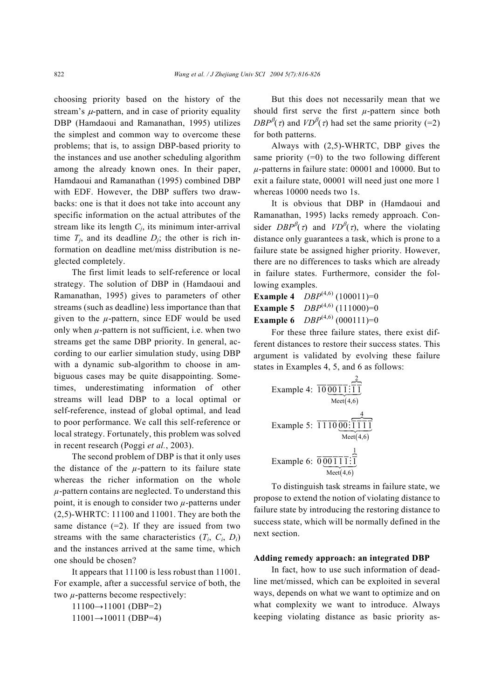choosing priority based on the history of the stream's  $\mu$ -pattern, and in case of priority equality DBP (Hamdaoui and Ramanathan, 1995) utilizes the simplest and common way to overcome these problems; that is, to assign DBP-based priority to the instances and use another scheduling algorithm among the already known ones. In their paper, Hamdaoui and Ramanathan (1995) combined DBP with EDF. However, the DBP suffers two drawbacks: one is that it does not take into account any specific information on the actual attributes of the stream like its length *Cj*, its minimum inter-arrival time  $T_i$ , and its deadline  $D_i$ ; the other is rich information on deadline met/miss distribution is neglected completely.

The first limit leads to self-reference or local strategy. The solution of DBP in (Hamdaoui and Ramanathan, 1995) gives to parameters of other streams (such as deadline) less importance than that given to the  $\mu$ -pattern, since EDF would be used only when  $\mu$ -pattern is not sufficient, i.e. when two streams get the same DBP priority. In general, according to our earlier simulation study, using DBP with a dynamic sub-algorithm to choose in ambiguous cases may be quite disappointing. Sometimes, underestimating information of other streams will lead DBP to a local optimal or self-reference, instead of global optimal, and lead to poor performance. We call this self-reference or local strategy. Fortunately, this problem was solved in recent research (Poggi *et al.*, 2003).

The second problem of DBP is that it only uses the distance of the  $\mu$ -pattern to its failure state whereas the richer information on the whole *µ*-pattern contains are neglected. To understand this point, it is enough to consider two *µ*-patterns under (2,5)-WHRTC: 11100 and 11001. They are both the same distance  $(=2)$ . If they are issued from two streams with the same characteristics  $(T_i, C_i, D_i)$ and the instances arrived at the same time, which one should be chosen?

It appears that 11100 is less robust than 11001. For example, after a successful service of both, the two *µ*-patterns become respectively:

 $11100 \rightarrow 11001$  (DBP=2)  $11001 \rightarrow 10011$  (DBP=4)

But this does not necessarily mean that we should first serve the first *µ*-pattern since both *DBP*<sup>β</sup>( $\tau$ ) and *VD*<sup>β</sup>( $\tau$ ) had set the same priority (=2) for both patterns.

Always with (2,5)-WHRTC, DBP gives the same priority  $(=0)$  to the two following different *µ*-patterns in failure state: 00001 and 10000. But to exit a failure state, 00001 will need just one more 1 whereas 10000 needs two 1s.

It is obvious that DBP in (Hamdaoui and Ramanathan, 1995) lacks remedy approach. Consider  $DBP^{\beta}(\tau)$  and  $VD^{\beta}(\tau)$ , where the violating distance only guarantees a task, which is prone to a failure state be assigned higher priority. However, there are no differences to tasks which are already in failure states. Furthermore, consider the following examples.

**Example 4**  $DBP^{(4,6)}$  (100011)=0 **Example 5**  $DBP^{(4,6)}$  (111000)=0 **Example 6**  $DBP^{(4,6)}$  (000111)=0

For these three failure states, there exist different distances to restore their success states. This argument is validated by evolving these failure states in Examples 4, 5, and 6 as follows:

Example 4: 
$$
\overline{10} \underbrace{\frac{2}{0011} \cdot \frac{2}{11}}_{\text{Mect}(4,6)}
$$
  
\nExample 5:  $\overline{1110} \underbrace{\frac{4}{00} \cdot \overline{1111}}_{\text{Mect}(4,6)}$   
\nExample 6:  $\overline{0} \underbrace{\frac{4}{001111} \cdot \frac{1}{11}}_{\text{Mect}(4,6)}$ 

To distinguish task streams in failure state, we propose to extend the notion of violating distance to failure state by introducing the restoring distance to success state, which will be normally defined in the next section.

#### **Adding remedy approach: an integrated DBP**

In fact, how to use such information of deadline met/missed, which can be exploited in several ways, depends on what we want to optimize and on what complexity we want to introduce. Always keeping violating distance as basic priority as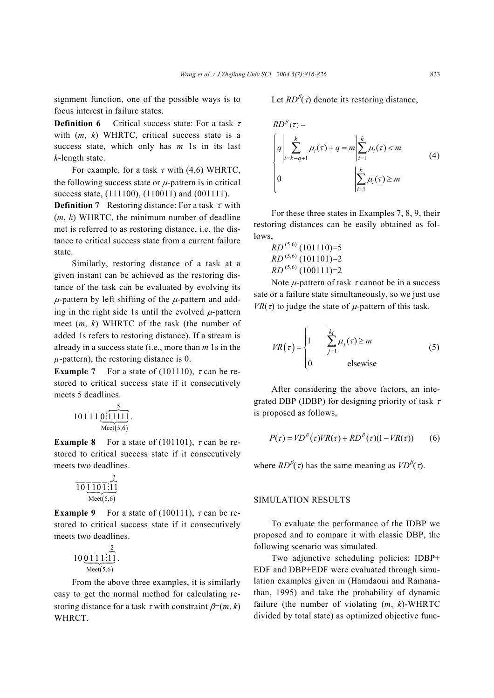signment function, one of the possible ways is to focus interest in failure states.

**Definition 6** Critical success state: For a task τ with (*m*, *k*) WHRTC, critical success state is a success state, which only has *m* 1s in its last *k*-length state.

For example, for a task  $\tau$  with (4,6) WHRTC, the following success state or  $\mu$ -pattern is in critical success state, (111100), (110011) and (001111).

**Definition 7** Restoring distance: For a task  $\tau$  with (*m*, *k*) WHRTC, the minimum number of deadline met is referred to as restoring distance, i.e. the distance to critical success state from a current failure state.

Similarly, restoring distance of a task at a given instant can be achieved as the restoring distance of the task can be evaluated by evolving its  $\mu$ -pattern by left shifting of the  $\mu$ -pattern and adding in the right side 1s until the evolved  $\mu$ -pattern meet (*m*, *k*) WHRTC of the task (the number of added 1s refers to restoring distance). If a stream is already in a success state (i.e., more than *m* 1s in the  $\mu$ -pattern), the restoring distance is 0.

**Example 7** For a state of (101110),  $\tau$  can be restored to critical success state if it consecutively meets 5 deadlines.<br> $rac{5}{101110}$ 

$$
\overline{10111}\overline{0:}\overline{11111}\overline{0:}\overline{11111}.
$$
  
 
$$
\overline{\text{Mect}(5,6)}
$$

**Example 8** For a state of (101101),  $\tau$  can be restored to critical success state if it consecutively meets two deadlines.

$$
\overline{10} \underbrace{\overline{110} \overline{1} \overline{11} \overline{11}}_{\text{Meet}(5,6)}
$$

**Example 9** For a state of (100111),  $\tau$  can be restored to critical success state if it consecutively meets two deadlines.

P ( ) 2 Meet 5,6 10 011 1 11 # .

From the above three examples, it is similarly easy to get the normal method for calculating restoring distance for a task  $\tau$  with constraint  $\beta=(m, k)$ WHRCT.

Let  $RD^{\beta}(\tau)$  denote its restoring distance,

$$
RD^{\beta}(\tau) =
$$
\n
$$
\begin{cases}\nq \left| \sum_{i=k-q+1}^{k} \mu_i(\tau) + q \right| = m \left| \sum_{i=1}^{k} \mu_i(\tau) < m \\
0 & \left| \sum_{i=1}^{k} \mu_i(\tau) \ge m \right.\n\end{cases}\n\tag{4}
$$

For these three states in Examples 7, 8, 9, their restoring distances can be easily obtained as follows,

$$
RD^{(5,6)} (101110)=5
$$
  

$$
RD^{(5,6)} (101101)=2
$$
  

$$
RD^{(5,6)} (100111)=2
$$

Note  $\mu$ -pattern of task  $\tau$  cannot be in a success sate or a failure state simultaneously, so we just use *VR(τ)* to judge the state of  $\mu$ -pattern of this task.

$$
VR(\tau) = \begin{cases} 1 & \left| \sum_{j=1}^{k_i} \mu_j(\tau) \ge m \\ 0 & \text{elsewise} \end{cases}
$$
(5)

After considering the above factors, an integrated DBP (IDBP) for designing priority of task  $\tau$ is proposed as follows,

$$
P(\tau) = V D^{\beta}(\tau) V R(\tau) + R D^{\beta}(\tau) (1 - V R(\tau)) \tag{6}
$$

where  $RD^{\beta}(\tau)$  has the same meaning as  $VD^{\beta}(\tau)$ .

#### SIMULATION RESULTS

To evaluate the performance of the IDBP we proposed and to compare it with classic DBP, the following scenario was simulated.

Two adjunctive scheduling policies: IDBP+ EDF and DBP+EDF were evaluated through simulation examples given in (Hamdaoui and Ramanathan, 1995) and take the probability of dynamic failure (the number of violating (*m*, *k*)-WHRTC divided by total state) as optimized objective func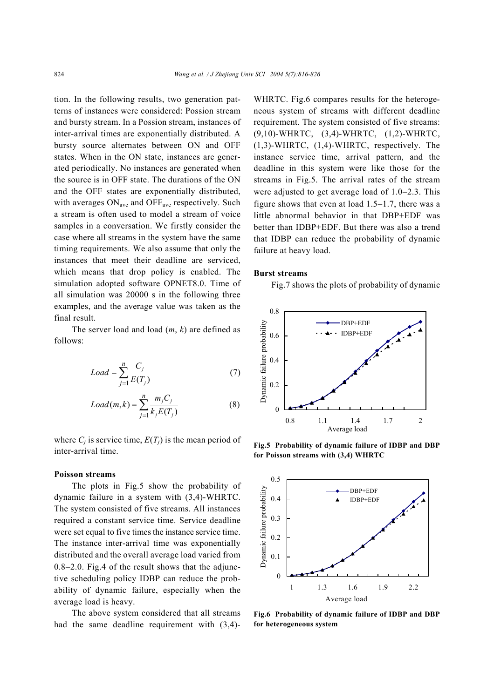tion. In the following results, two generation patterns of instances were considered: Possion stream and bursty stream. In a Possion stream, instances of inter-arrival times are exponentially distributed. A bursty source alternates between ON and OFF states. When in the ON state, instances are generated periodically. No instances are generated when the source is in OFF state. The durations of the ON and the OFF states are exponentially distributed, with averages  $ON<sub>ave</sub>$  and  $OFF<sub>ave</sub>$  respectively. Such a stream is often used to model a stream of voice samples in a conversation. We firstly consider the case where all streams in the system have the same timing requirements. We also assume that only the instances that meet their deadline are serviced, which means that drop policy is enabled. The simulation adopted software OPNET8.0. Time of all simulation was 20000 s in the following three examples, and the average value was taken as the final result.

The server load and load (*m*, *k*) are defined as follows:

$$
Load = \sum_{j=1}^{n} \frac{C_j}{E(T_j)}
$$
 (7)

$$
Load(m,k) = \sum_{j=1}^{n} \frac{m_j C_j}{k_j E(T_j)}
$$
(8)

where  $C_i$  is service time,  $E(T_i)$  is the mean period of inter-arrival time.

#### **Poisson streams**

The plots in Fig.5 show the probability of dynamic failure in a system with (3,4)-WHRTC. The system consisted of five streams. All instances required a constant service time. Service deadline were set equal to five times the instance service time. The instance inter-arrival time was exponentially distributed and the overall average load varied from 0.8−2.0. Fig.4 of the result shows that the adjunctive scheduling policy IDBP can reduce the probability of dynamic failure, especially when the average load is heavy.

The above system considered that all streams had the same deadline requirement with (3,4)-

WHRTC. Fig.6 compares results for the heterogeneous system of streams with different deadline requirement. The system consisted of five streams: (9,10)-WHRTC, (3,4)-WHRTC, (1,2)-WHRTC, (1,3)-WHRTC, (1,4)-WHRTC, respectively. The instance service time, arrival pattern, and the deadline in this system were like those for the streams in Fig.5. The arrival rates of the stream were adjusted to get average load of 1.0−2.3. This figure shows that even at load 1.5−1.7, there was a little abnormal behavior in that DBP+EDF was better than IDBP+EDF. But there was also a trend that IDBP can reduce the probability of dynamic failure at heavy load.

#### **Burst streams**

Fig.7 shows the plots of probability of dynamic



**Fig.5 Probability of dynamic failure of IDBP and DBP for Poisson streams with (3,4) WHRTC**



**Fig.6 Probability of dynamic failure of IDBP and DBP for heterogeneous system**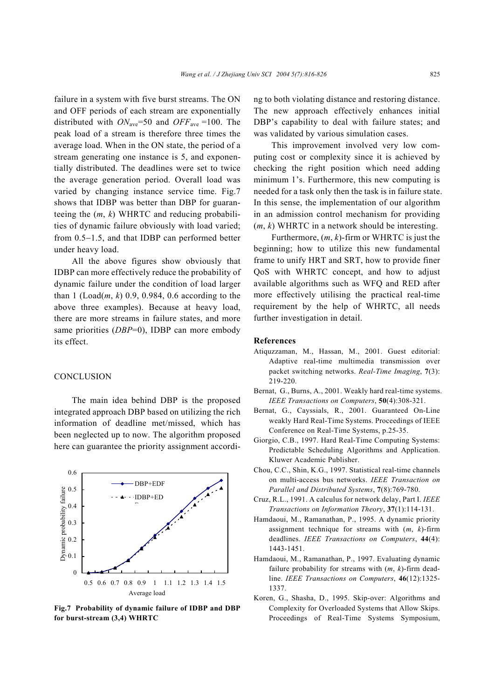failure in a system with five burst streams. The ON and OFF periods of each stream are exponentially distributed with  $ON<sub>ave</sub>=50$  and  $OFF<sub>ave</sub>=100$ . The peak load of a stream is therefore three times the average load. When in the ON state, the period of a stream generating one instance is 5, and exponentially distributed. The deadlines were set to twice the average generation period. Overall load was varied by changing instance service time. Fig.7 shows that IDBP was better than DBP for guaranteeing the (*m*, *k*) WHRTC and reducing probabilities of dynamic failure obviously with load varied; from 0.5−1.5, and that IDBP can performed better under heavy load.

All the above figures show obviously that IDBP can more effectively reduce the probability of dynamic failure under the condition of load larger than  $1$  (Load(*m*, *k*) 0.9, 0.984, 0.6 according to the above three examples). Because at heavy load, there are more streams in failure states, and more same priorities (*DBP*=0), IDBP can more embody its effect.

#### **CONCLUSION**

The main idea behind DBP is the proposed integrated approach DBP based on utilizing the rich information of deadline met/missed, which has been neglected up to now. The algorithm proposed here can guarantee the priority assignment accordi-



**Fig.7 Probability of dynamic failure of IDBP and DBP for burst-stream (3,4) WHRTC** 

ng to both violating distance and restoring distance. The new approach effectively enhances initial DBP's capability to deal with failure states; and was validated by various simulation cases.

This improvement involved very low computing cost or complexity since it is achieved by checking the right position which need adding minimum 1's. Furthermore, this new computing is needed for a task only then the task is in failure state. In this sense, the implementation of our algorithm in an admission control mechanism for providing (*m*, *k*) WHRTC in a network should be interesting.

Furthermore, (*m*, *k*)-firm or WHRTC is just the beginning; how to utilize this new fundamental frame to unify HRT and SRT, how to provide finer QoS with WHRTC concept, and how to adjust available algorithms such as WFQ and RED after more effectively utilising the practical real-time requirement by the help of WHRTC, all needs further investigation in detail.

#### **References**

- Atiquzzaman, M., Hassan, M., 2001. Guest editorial: Adaptive real-time multimedia transmission over packet switching networks. *Real-Time Imaging*, **7**(3): 219-220.
- Bernat, G., Burns, A., 2001. Weakly hard real-time systems. *IEEE Transactions on Computers*, **50**(4):308-321.
- Bernat, G., Cayssials, R., 2001. Guaranteed On-Line weakly Hard Real-Time Systems. Proceedings of IEEE Conference on Real-Time Systems, p.25-35.
- Giorgio, C.B., 1997. Hard Real-Time Computing Systems: Predictable Scheduling Algorithms and Application. Kluwer Academic Publisher.
- Chou, C.C., Shin, K.G., 1997. Statistical real-time channels on multi-access bus networks. *IEEE Transaction on Parallel and Distributed Systems*, **7**(8):769-780.
- Cruz, R.L., 1991. A calculus for network delay, Part I. *IEEE Transactions on Information Theory*, **37**(1):114-131.
- Hamdaoui, M., Ramanathan, P., 1995. A dynamic priority assignment technique for streams with (*m*, *k*)-firm deadlines. *IEEE Transactions on Computers*, **44**(4): 1443-1451.
- Hamdaoui, M., Ramanathan, P., 1997. Evaluating dynamic failure probability for streams with (*m*, *k*)-firm deadline. *IEEE Transactions on Computers*, **46**(12):1325- 1337.
- Koren, G., Shasha, D., 1995. Skip-over: Algorithms and Complexity for Overloaded Systems that Allow Skips. Proceedings of Real-Time Systems Symposium,